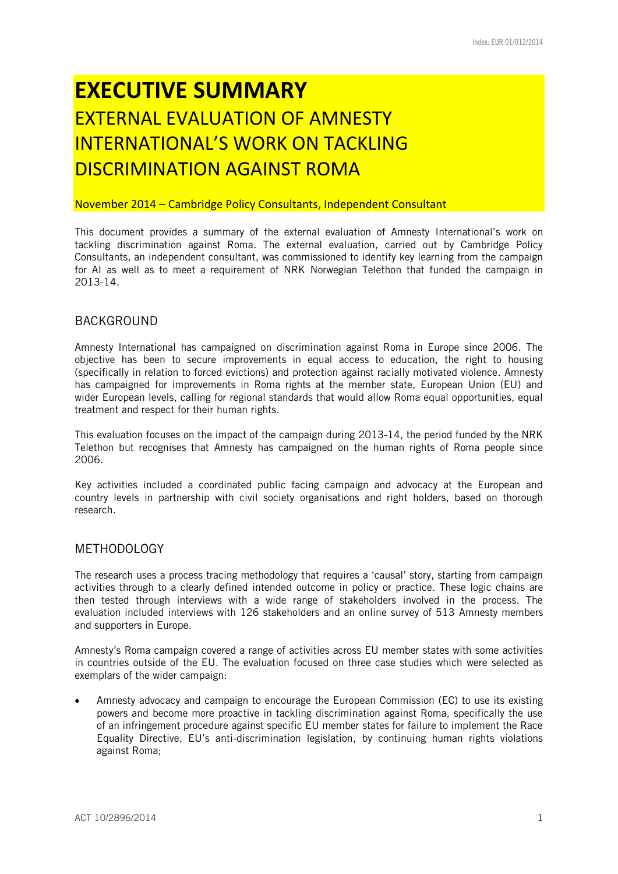# **EXECUTIVE SUMMARY**  EXTERNAL EVALUATION OF AMNESTY INTERNATIONAL'S WORK ON TACKLING DISCRIMINATION AGAINST ROMA

### November 2014 – Cambridge Policy Consultants, Independent Consultant

This document provides a summary of the external evaluation of Amnesty International's work on tackling discrimination against Roma. The external evaluation, carried out by Cambridge Policy Consultants, an independent consultant, was commissioned to identify key learning from the campaign for AI as well as to meet a requirement of NRK Norwegian Telethon that funded the campaign in 2013-14.

## BACKGROUND

Amnesty International has campaigned on discrimination against Roma in Europe since 2006. The objective has been to secure improvements in equal access to education, the right to housing (specifically in relation to forced evictions) and protection against racially motivated violence. Amnesty has campaigned for improvements in Roma rights at the member state, European Union (EU) and wider European levels, calling for regional standards that would allow Roma equal opportunities, equal treatment and respect for their human rights.

This evaluation focuses on the impact of the campaign during 2013-14, the period funded by the NRK Telethon but recognises that Amnesty has campaigned on the human rights of Roma people since 2006.

Key activities included a coordinated public facing campaign and advocacy at the European and country levels in partnership with civil society organisations and right holders, based on thorough research.

## METHODOLOGY

The research uses a process tracing methodology that requires a 'causal' story, starting from campaign activities through to a clearly defined intended outcome in policy or practice. These logic chains are then tested through interviews with a wide range of stakeholders involved in the process. The evaluation included interviews with 126 stakeholders and an online survey of 513 Amnesty members and supporters in Europe.

Amnesty's Roma campaign covered a range of activities across EU member states with some activities in countries outside of the EU. The evaluation focused on three case studies which were selected as exemplars of the wider campaign:

 Amnesty advocacy and campaign to encourage the European Commission (EC) to use its existing powers and become more proactive in tackling discrimination against Roma, specifically the use of an infringement procedure against specific EU member states for failure to implement the Race Equality Directive, EU's anti-discrimination legislation, by continuing human rights violations against Roma;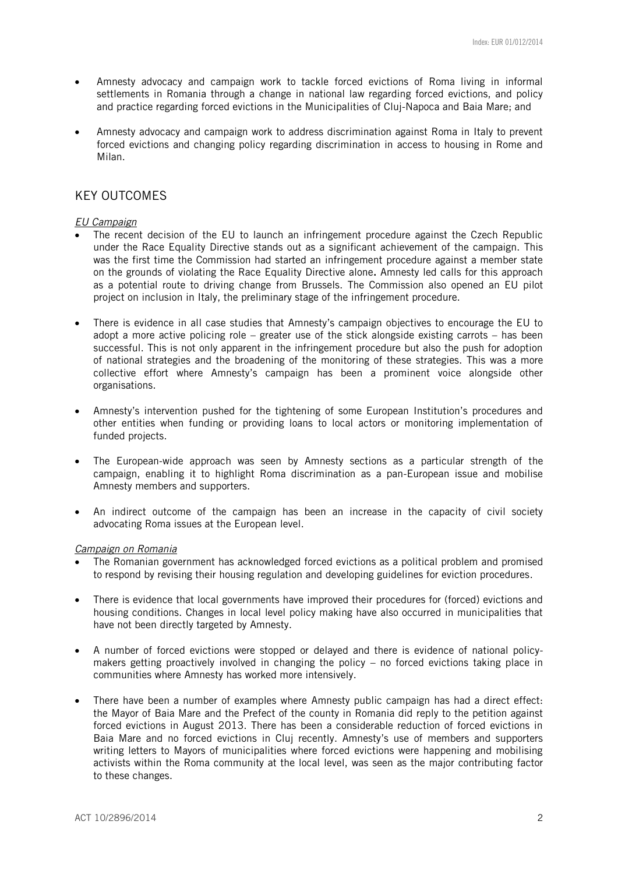- Amnesty advocacy and campaign work to tackle forced evictions of Roma living in informal settlements in Romania through a change in national law regarding forced evictions, and policy and practice regarding forced evictions in the Municipalities of Cluj-Napoca and Baia Mare; and
- Amnesty advocacy and campaign work to address discrimination against Roma in Italy to prevent forced evictions and changing policy regarding discrimination in access to housing in Rome and Milan.

# KEY OUTCOMES

#### *EU Campaign*

- The recent decision of the EU to launch an infringement procedure against the Czech Republic under the Race Equality Directive stands out as a significant achievement of the campaign. This was the first time the Commission had started an infringement procedure against a member state on the grounds of violating the Race Equality Directive alone. Amnesty led calls for this approach as a potential route to driving change from Brussels. The Commission also opened an EU pilot project on inclusion in Italy, the preliminary stage of the infringement procedure.
- There is evidence in all case studies that Amnesty's campaign objectives to encourage the EU to adopt a more active policing role – greater use of the stick alongside existing carrots – has been successful. This is not only apparent in the infringement procedure but also the push for adoption of national strategies and the broadening of the monitoring of these strategies. This was a more collective effort where Amnesty's campaign has been a prominent voice alongside other organisations.
- Amnesty's intervention pushed for the tightening of some European Institution's procedures and other entities when funding or providing loans to local actors or monitoring implementation of funded projects.
- The European-wide approach was seen by Amnesty sections as a particular strength of the campaign, enabling it to highlight Roma discrimination as a pan-European issue and mobilise Amnesty members and supporters.
- An indirect outcome of the campaign has been an increase in the capacity of civil society advocating Roma issues at the European level.

#### *Campaign on Romania*

- The Romanian government has acknowledged forced evictions as a political problem and promised to respond by revising their housing regulation and developing guidelines for eviction procedures.
- There is evidence that local governments have improved their procedures for (forced) evictions and housing conditions. Changes in local level policy making have also occurred in municipalities that have not been directly targeted by Amnesty.
- A number of forced evictions were stopped or delayed and there is evidence of national policymakers getting proactively involved in changing the policy – no forced evictions taking place in communities where Amnesty has worked more intensively.
- There have been a number of examples where Amnesty public campaign has had a direct effect: the Mayor of Baia Mare and the Prefect of the county in Romania did reply to the petition against forced evictions in August 2013. There has been a considerable reduction of forced evictions in Baia Mare and no forced evictions in Cluj recently. Amnesty's use of members and supporters writing letters to Mayors of municipalities where forced evictions were happening and mobilising activists within the Roma community at the local level, was seen as the major contributing factor to these changes.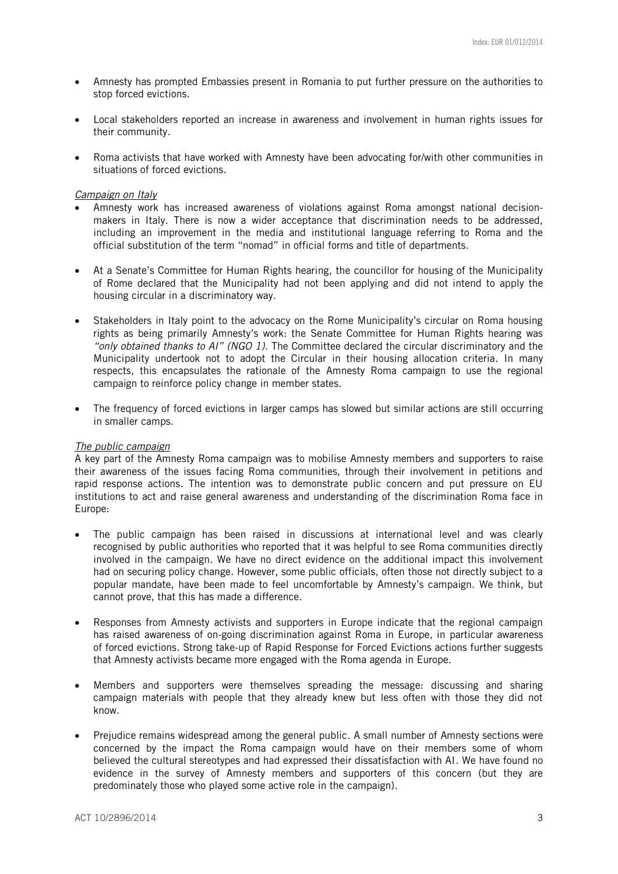- Amnesty has prompted Embassies present in Romania to put further pressure on the authorities to stop forced evictions.
- Local stakeholders reported an increase in awareness and involvement in human rights issues for their community.
- Roma activists that have worked with Amnesty have been advocating for/with other communities in situations of forced evictions.

#### *Campaign on Italy*

- Amnesty work has increased awareness of violations against Roma amongst national decisionmakers in Italy. There is now a wider acceptance that discrimination needs to be addressed, including an improvement in the media and institutional language referring to Roma and the official substitution of the term "nomad" in official forms and title of departments.
- At a Senate's Committee for Human Rights hearing, the councillor for housing of the Municipality of Rome declared that the Municipality had not been applying and did not intend to apply the housing circular in a discriminatory way.
- Stakeholders in Italy point to the advocacy on the Rome Municipality's circular on Roma housing rights as being primarily Amnesty's work: the Senate Committee for Human Rights hearing was *"only obtained thanks to AI" (NGO 1)*. The Committee declared the circular discriminatory and the Municipality undertook not to adopt the Circular in their housing allocation criteria. In many respects, this encapsulates the rationale of the Amnesty Roma campaign to use the regional campaign to reinforce policy change in member states.
- The frequency of forced evictions in larger camps has slowed but similar actions are still occurring in smaller camps.

#### *The public campaign*

A key part of the Amnesty Roma campaign was to mobilise Amnesty members and supporters to raise their awareness of the issues facing Roma communities, through their involvement in petitions and rapid response actions. The intention was to demonstrate public concern and put pressure on EU institutions to act and raise general awareness and understanding of the discrimination Roma face in Europe:

- The public campaign has been raised in discussions at international level and was clearly recognised by public authorities who reported that it was helpful to see Roma communities directly involved in the campaign. We have no direct evidence on the additional impact this involvement had on securing policy change. However, some public officials, often those not directly subject to a popular mandate, have been made to feel uncomfortable by Amnesty's campaign. We think, but cannot prove, that this has made a difference.
- Responses from Amnesty activists and supporters in Europe indicate that the regional campaign has raised awareness of on-going discrimination against Roma in Europe, in particular awareness of forced evictions. Strong take-up of Rapid Response for Forced Evictions actions further suggests that Amnesty activists became more engaged with the Roma agenda in Europe.
- Members and supporters were themselves spreading the message: discussing and sharing campaign materials with people that they already knew but less often with those they did not know.
- Prejudice remains widespread among the general public. A small number of Amnesty sections were concerned by the impact the Roma campaign would have on their members some of whom believed the cultural stereotypes and had expressed their dissatisfaction with AI. We have found no evidence in the survey of Amnesty members and supporters of this concern (but they are predominately those who played some active role in the campaign).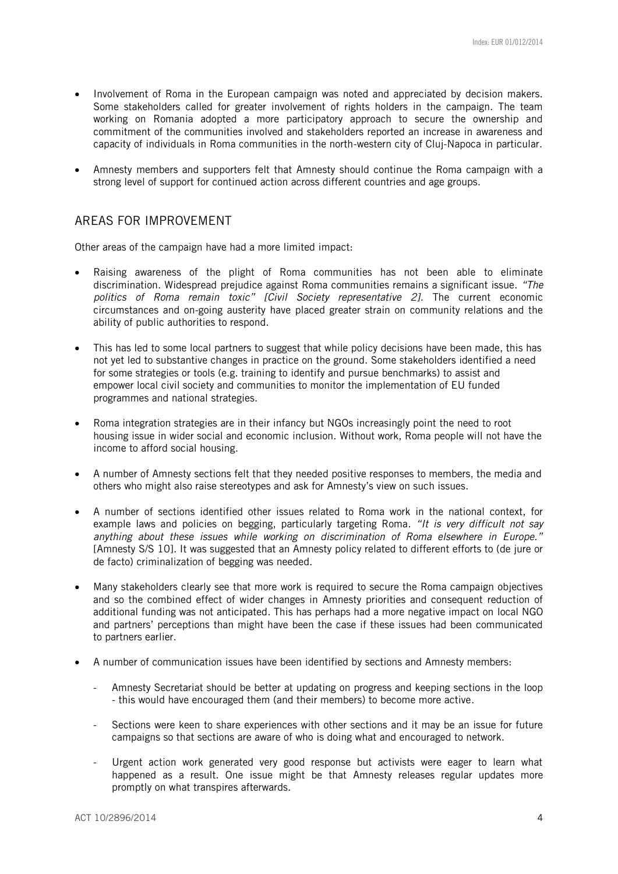- Involvement of Roma in the European campaign was noted and appreciated by decision makers. Some stakeholders called for greater involvement of rights holders in the campaign. The team working on Romania adopted a more participatory approach to secure the ownership and commitment of the communities involved and stakeholders reported an increase in awareness and capacity of individuals in Roma communities in the north-western city of Cluj-Napoca in particular.
- Amnesty members and supporters felt that Amnesty should continue the Roma campaign with a strong level of support for continued action across different countries and age groups.

# AREAS FOR IMPROVEMENT

Other areas of the campaign have had a more limited impact:

- Raising awareness of the plight of Roma communities has not been able to eliminate discrimination. Widespread prejudice against Roma communities remains a significant issue. *"The politics of Roma remain toxic" [Civil Society representative 2].* The current economic circumstances and on-going austerity have placed greater strain on community relations and the ability of public authorities to respond.
- This has led to some local partners to suggest that while policy decisions have been made, this has not yet led to substantive changes in practice on the ground. Some stakeholders identified a need for some strategies or tools (e.g. training to identify and pursue benchmarks) to assist and empower local civil society and communities to monitor the implementation of EU funded programmes and national strategies.
- Roma integration strategies are in their infancy but NGOs increasingly point the need to root housing issue in wider social and economic inclusion. Without work, Roma people will not have the income to afford social housing.
- A number of Amnesty sections felt that they needed positive responses to members, the media and others who might also raise stereotypes and ask for Amnesty's view on such issues.
- A number of sections identified other issues related to Roma work in the national context, for example laws and policies on begging, particularly targeting Roma*. "It is very difficult not say anything about these issues while working on discrimination of Roma elsewhere in Europe."* [Amnesty S/S 10]. It was suggested that an Amnesty policy related to different efforts to (de jure or de facto) criminalization of begging was needed.
- Many stakeholders clearly see that more work is required to secure the Roma campaign objectives and so the combined effect of wider changes in Amnesty priorities and consequent reduction of additional funding was not anticipated. This has perhaps had a more negative impact on local NGO and partners' perceptions than might have been the case if these issues had been communicated to partners earlier.
- A number of communication issues have been identified by sections and Amnesty members:
	- Amnesty Secretariat should be better at updating on progress and keeping sections in the loop - this would have encouraged them (and their members) to become more active.
	- Sections were keen to share experiences with other sections and it may be an issue for future campaigns so that sections are aware of who is doing what and encouraged to network.
	- Urgent action work generated very good response but activists were eager to learn what happened as a result. One issue might be that Amnesty releases regular updates more promptly on what transpires afterwards.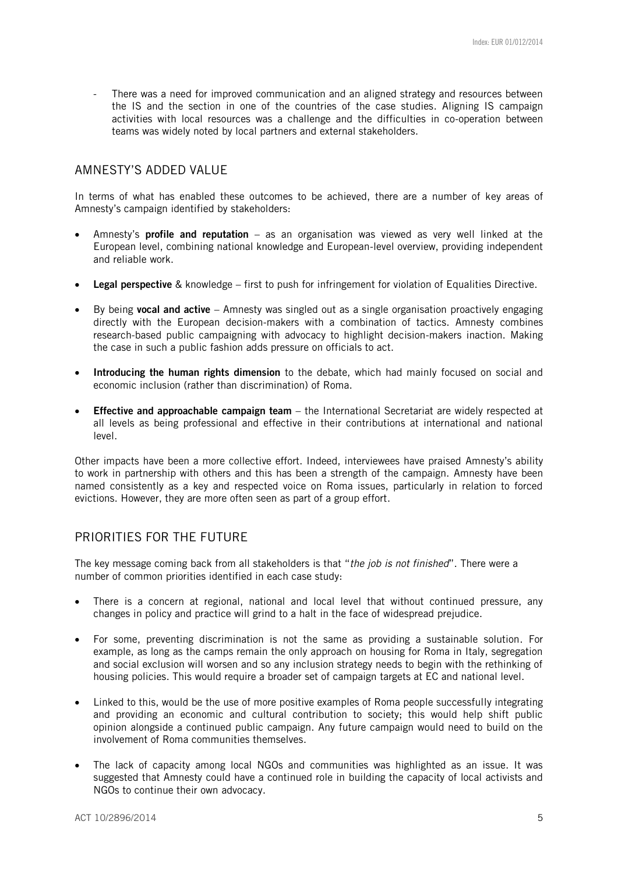There was a need for improved communication and an aligned strategy and resources between the IS and the section in one of the countries of the case studies. Aligning IS campaign activities with local resources was a challenge and the difficulties in co-operation between teams was widely noted by local partners and external stakeholders.

## AMNESTY'S ADDED VALUE

In terms of what has enabled these outcomes to be achieved, there are a number of key areas of Amnesty's campaign identified by stakeholders:

- Amnesty's **profile and reputation** as an organisation was viewed as very well linked at the European level, combining national knowledge and European-level overview, providing independent and reliable work.
- Legal perspective & knowledge first to push for infringement for violation of Equalities Directive.
- By being vocal and active Amnesty was singled out as a single organisation proactively engaging directly with the European decision-makers with a combination of tactics. Amnesty combines research-based public campaigning with advocacy to highlight decision-makers inaction. Making the case in such a public fashion adds pressure on officials to act.
- Introducing the human rights dimension to the debate, which had mainly focused on social and economic inclusion (rather than discrimination) of Roma.
- **Effective and approachable campaign team** the International Secretariat are widely respected at all levels as being professional and effective in their contributions at international and national level.

Other impacts have been a more collective effort. Indeed, interviewees have praised Amnesty's ability to work in partnership with others and this has been a strength of the campaign. Amnesty have been named consistently as a key and respected voice on Roma issues, particularly in relation to forced evictions. However, they are more often seen as part of a group effort.

# PRIORITIES FOR THE FUTURE

The key message coming back from all stakeholders is that "*the job is not finished*". There were a number of common priorities identified in each case study:

- There is a concern at regional, national and local level that without continued pressure, any changes in policy and practice will grind to a halt in the face of widespread prejudice.
- For some, preventing discrimination is not the same as providing a sustainable solution. For example, as long as the camps remain the only approach on housing for Roma in Italy, segregation and social exclusion will worsen and so any inclusion strategy needs to begin with the rethinking of housing policies. This would require a broader set of campaign targets at EC and national level.
- Linked to this, would be the use of more positive examples of Roma people successfully integrating and providing an economic and cultural contribution to society; this would help shift public opinion alongside a continued public campaign. Any future campaign would need to build on the involvement of Roma communities themselves.
- The lack of capacity among local NGOs and communities was highlighted as an issue. It was suggested that Amnesty could have a continued role in building the capacity of local activists and NGOs to continue their own advocacy.